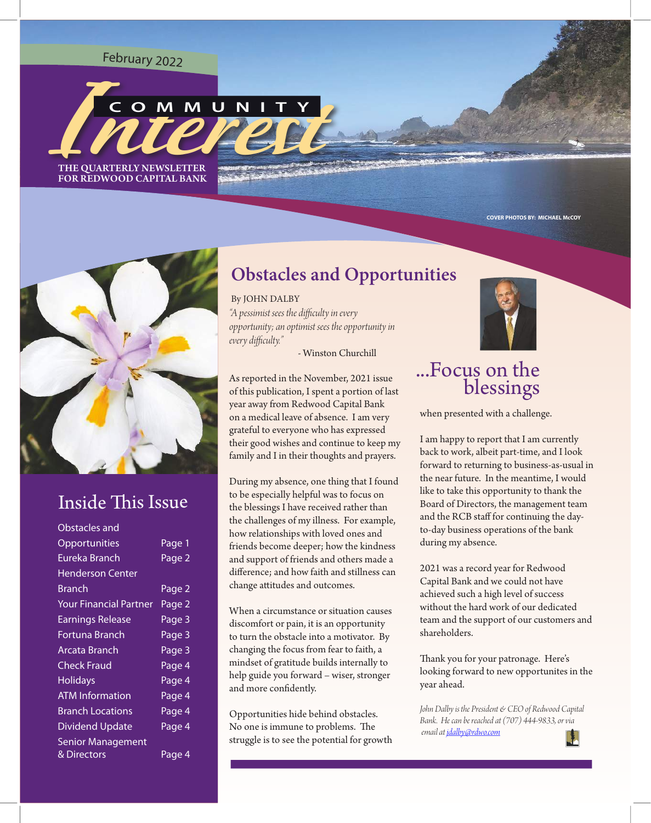#### <sup>F</sup>eb<sup>r</sup>ua<sup>r</sup><sup>y</sup> <sup>2</sup>02<sup>2</sup>



FOR REDWOOD CAPITAL BANK



## **Inside This Issue**

| Obstacles and                 |        |
|-------------------------------|--------|
| Opportunities                 | Page 1 |
| Eureka Branch                 | Page 2 |
| <b>Henderson Center</b>       |        |
| Branch                        | Page 2 |
| <b>Your Financial Partner</b> | Page 2 |
| <b>Earnings Release</b>       | Page 3 |
| Fortuna Branch                | Page 3 |
| Arcata Branch                 | Page 3 |
| <b>Check Fraud</b>            | Page 4 |
| <b>Holidays</b>               | Page 4 |
| <b>ATM Information</b>        | Page 4 |
| <b>Branch Locations</b>       | Page 4 |
| <b>Dividend Update</b>        | Page 4 |
| <b>Senior Management</b>      |        |
| & Directors                   | Page 4 |

#### **Obstacles and Opportunities**

*"A pessimist sees the difculty in every opportunity; an optimist sees the opportunity in every difculty."*  By JOHN DALBY

- Winston Churchill

As reported in the November, 2021 issue of this publication, I spent a portion of last year away from Redwood Capital Bank on a medical leave of absence. I am very grateful to everyone who has expressed their good wishes and continue to keep my family and I in their thoughts and prayers.

During my absence, one thing that I found to be especially helpful was to focus on the blessings I have received rather than the challenges of my illness. For example, how relationships with loved ones and friends become deeper; how the kindness and support of friends and others made a diference; and how faith and stillness can change atitudes and outcomes.

When a circumstance or situation causes discomfort or pain, it is an opportunity to turn the obstacle into a motivator. By changing the focus from fear to faith, a mindset of gratitude builds internally to help guide you forward – wiser, stronger and more confdently.

Opportunities hide behind obstacles. No one is immune to problems. The struggle is to see the potential for growth



**COVER PHOTOS BY: MICHAEL McCOY**

#### ...Focus on the blessings

when presented with a challenge.

I am happy to report that I am currently back to work, albeit part-time, and I look forward to returning to business-as-usual in the near future. In the meantime, I would like to take this opportunity to thank the Board of Directors, the management team and the RCB staff for continuing the dayto-day business operations of the bank during my absence.

2021 was a record year for Redwood Capital Bank and we could not have achieved such a high level of success without the hard work of our dedicated team and the support of our customers and shareholders.

Thank you for your patronage. Here's looking forward to new opportunites in the year ahead.

*John Dalby is the President & CEO of Redwood Capital Bank. He can be reached at (707) 444-9833, or via email at jdalby@rdwo.com*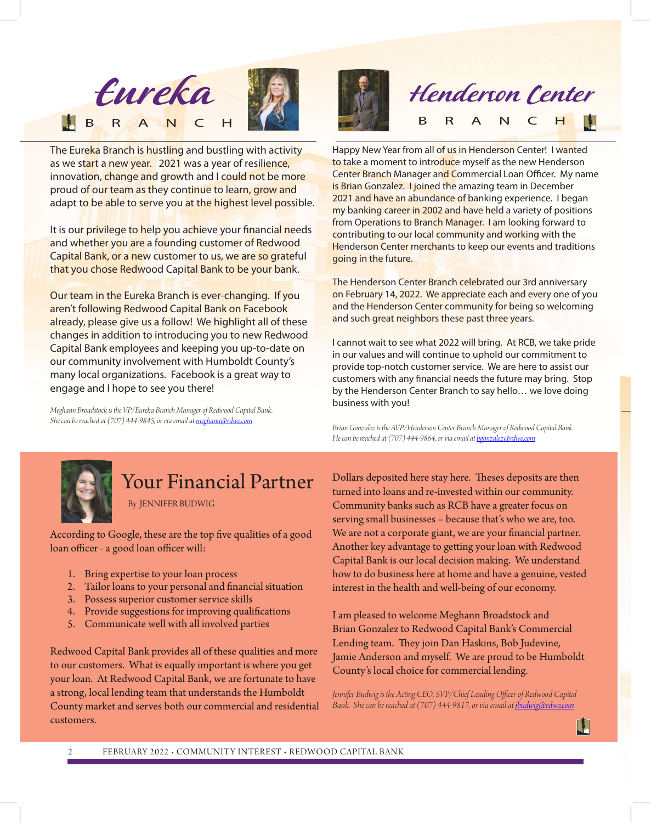

The Eureka Branch is hustling and bustling with activity as we start a new year. 2021 was a year of resilience, innovation, change and growth and I could not be more proud of our team as they continue to learn, grow and adapt to be able to serve you at the highest level possible.

It is our privilege to help you achieve your financial needs and whether you are a founding customer of Redwood Capital Bank, or a new customer to us, we are so grateful that you chose Redwood Capital Bank to be your bank.

Our team in the Eureka Branch is ever-changing. If you aren't following Redwood Capital Bank on Facebook already, please give us a follow! We highlight all of these changes in addition to introducing you to new Redwood Capital Bank employees and keeping you up-to-date on our community involvement with Humboldt County's many local organizations. Facebook is a great way to engage and I hope to see you there!

*Meghann Broadstock is the VP/Eureka Branch Manager of Redwood Capital Bank. She can be reached at (707) 444-9845, or via email atmeghann@rdwo.com*





Happy New Year from all of us in Henderson Center! I wanted to take a moment to introduce myself as the new Henderson Center Branch Manager and Commercial Loan Officer. My name is Brian Gonzalez. I joined the amazing team in December 2021 and have an abundance of banking experience. I began my banking career in 2002 and have held a variety of positions from Operations to Branch Manager. I am looking forward to contributing to our local community and working with the **Henderson Center merchants to keep our events and traditions** going in the future.

The Henderson Center Branch celebrated our 3rd anniversary on February 14, 2022. We appreciate each and every one of you and the Henderson Center community for being so welcoming and such great neighbors these past three years.

I cannot wait to see what 2022 will bring. At RCB, we take pride in our values and will continue to uphold our commitment to provide top-notch customer service. We are here to assist our customers with any fnancial needs the future may bring. Stop by the Henderson Center Branch to say hello… we love doing business with you!

*Brian Gonzalez is the AVP/Henderson Center Branch Manager of Redwood Capital Bank. He can be reached at (707) 444-9864, or via email atbgonzalez@rdwo.com*



### Your Financial Partner

By JENNIFER BUDWIG

According to Google, these are the top fve qualities of a good loan officer - a good loan officer will:

- 1. Bring expertise to your loan process
- 2. Tailor loans to your personal and fnancial situation
- 3. Possess superior customer service skills
- 4. Provide suggestions for improving qualifcations
- 5. Communicate well with all involved parties

Redwood Capital Bank provides all of these qualities and more to our customers. What is equally important is where you get your loan. At Redwood Capital Bank, we are fortunate to have a strong, local lending team that understands the Humboldt County market and serves both our commercial and residential customers.

Dollars deposited here stay here. Theses deposits are then turned into loans and re-invested within our community. Community banks such as RCB have a greater focus on serving small businesses – because that's who we are, too. We are not a corporate giant, we are your fnancial partner. Another key advantage to geting your loan with Redwood Capital Bank is our local decision making. We understand how to do business here at home and have a genuine, vested interest in the health and well-being of our economy.

I am pleased to welcome Meghann Broadstock and Brian Gonzalez to Redwood Capital Bank's Commercial Lending team. They join Dan Haskins, Bob Judevine, Jamie Anderson and myself. We are proud to be Humboldt County's local choice for commercial lending.

*Jennifer Budwig is the Acting CEO, SVP/Chief Lending Ofcer of Redwood Capital Bank. She can be reached at (707) 444-9817, or via email at jbudwig@rdwo.com*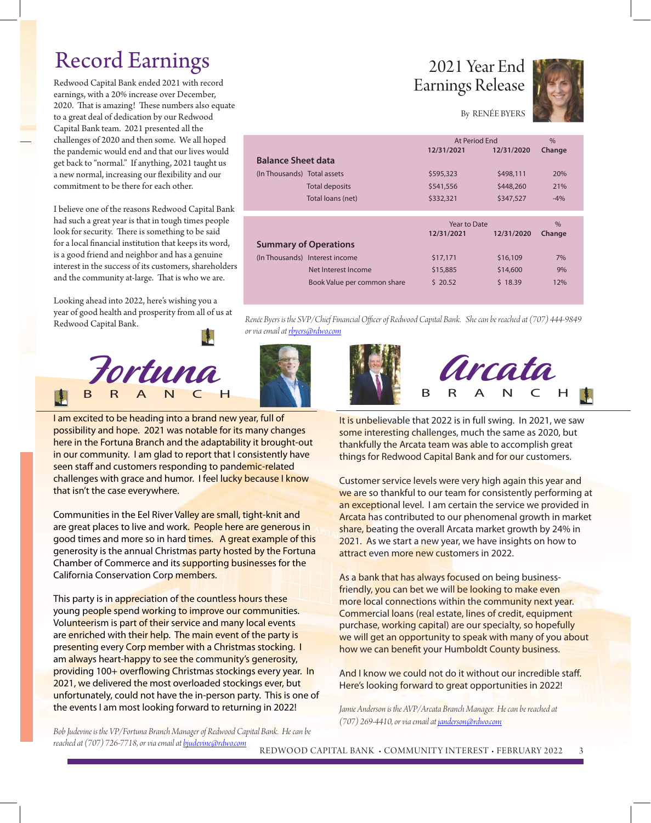## Record Earnings

Redwood Capital Bank ended 2021 with record earnings, with a 20% increase over December, 2020. That is amazing! These numbers also equate to a great deal of dedication by our Redwood Capital Bank team. 2021 presented all the challenges of 2020 and then some. We all hoped the pandemic would end and that our lives would get back to "normal." If anything, 2021 taught us a new normal, increasing our fexibility and our commitment to be there for each other.

I believe one of the reasons Redwood Capital Bank had such a great year is that in tough times people look for security. There is something to be said for a local fnancial institution that keeps its word, is a good friend and neighbor and has a genuine interest in the success of its customers, shareholders and the community at-large. That is who we are.

Looking ahead into 2022, here's wishing you a year of good health and prosperity from all of us at Redwood Capital Bank.



I am excited to be heading into a brand new year, full of possibility and hope. 2021 was notable for its many changes here in the Fortuna Branch and the adaptability it brought-out in our community. I am glad to report that I consistently have seen staff and customers responding to pandemic-related challenges with grace and humor. I feel lucky because I know that isn't the case everywhere.

Communities in the Eel River Valley are small, tight-knit and are great places to live and work. People here are generous in good times and more so in hard times. A great example of this generosity is the annual Christmas party hosted by the Fortuna Chamber of Commerce and its supporting businesses for the California Conservation Corp members.

This party is in appreciation of the countless hours these young people spend working to improve our communities. Volunteerism is part of their service and many local events are enriched with their help. The main event of the party is presenting every Corp member with a Christmas stocking. I am always heart-happy to see the community's generosity, providing 100+ overflowing Christmas stockings every year. In 2021, we delivered the most overloaded stockings ever, but unfortunately, could not have the in-person party. This is one of the events I am most looking forward to returning in 2022!

2021 Year End Earnings Release



By RENÉE BYERS

|                              |                                | At Period Fnd                            |            | $\frac{0}{0}$           |
|------------------------------|--------------------------------|------------------------------------------|------------|-------------------------|
|                              |                                | 12/31/2021                               | 12/31/2020 | Change                  |
| <b>Balance Sheet data</b>    |                                |                                          |            |                         |
| (In Thousands) Total assets  |                                | \$595,323                                | \$498,111  | 20%                     |
|                              | <b>Total deposits</b>          | \$541,556                                | \$448,260  | 21%                     |
|                              | Total loans (net)              | \$332,321                                | \$347,527  | $-4%$                   |
|                              |                                |                                          |            |                         |
|                              |                                | Year to Date<br>12/31/2021<br>12/31/2020 |            | $\frac{0}{0}$<br>Change |
| <b>Summary of Operations</b> |                                |                                          |            |                         |
|                              | (In Thousands) Interest income | \$17,171                                 | \$16,109   | 7%                      |
|                              | Net Interest Income            | \$15,885                                 | \$14,600   | 9%                      |
|                              |                                |                                          |            |                         |

*Renée Byers is the SVP/Chief Financial Ofcer of Redwood Capital Bank. She can be reached at (707) 444-9849 or via email at rbyers@rdwo.com*





It is unbelievable that 2022 is in full swing. In 2021, we saw some interesting challenges, much the same as 2020, but thankfully the Arcata team was able to accomplish great things for Redwood Capital Bank and for our customers.

Customer service levels were very high again this year and we are so thankful to our team for consistently performing at an exceptional level. I am certain the service we provided in Arcata has contributed to our phenomenal growth in market share, beating the overall Arcata market growth by 24% in 2021. As we start a new year, we have insights on how to attract even more new customers in 2022.

As a bank that has always focused on being businessfriendly, you can bet we will be looking to make even more local connections within the community next year. Commercial loans (real estate, lines of credit, equipment purchase, working capital) are our specialty, so hopefully we will get an opportunity to speak with many of you about how we can beneft your Humboldt County business.

And I know we could not do it without our incredible staff. Here's looking forward to great opportunities in 2022!

*Jamie Anderson is the AVP/Arcata Branch Manager. He can be reached at (707) 269-4410, or via email at janderson@rdwo.com*

*Bob Judevine is the VP/Fortuna Branch Manager of Redwood Capital Bank. He can be reached at (707) 726-7718, or via email atbjudevine@rdwo.com*